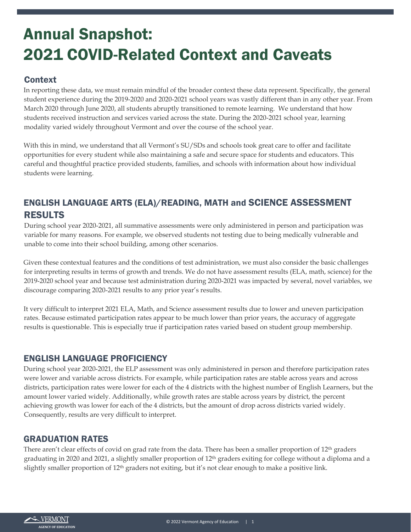# Annual Snapshot: 2021 COVID-Related Context and Caveats

## **Context**

In reporting these data, we must remain mindful of the broader context these data represent. Specifically, the general student experience during the 2019-2020 and 2020-2021 school years was vastly different than in any other year. From March 2020 through June 2020, all students abruptly transitioned to remote learning. We understand that how students received instruction and services varied across the state. During the 2020-2021 school year, learning modality varied widely throughout Vermont and over the course of the school year.

With this in mind, we understand that all Vermont's SU/SDs and schools took great care to offer and facilitate opportunities for every student while also maintaining a safe and secure space for students and educators. This careful and thoughtful practice provided students, families, and schools with information about how individual students were learning.

# ENGLISH LANGUAGE ARTS (ELA)/READING, MATH and SCIENCE ASSESSMENT RESULTS

During school year 2020-2021, all summative assessments were only administered in person and participation was variable for many reasons. For example, we observed students not testing due to being medically vulnerable and unable to come into their school building, among other scenarios.

Given these contextual features and the conditions of test administration, we must also consider the basic challenges for interpreting results in terms of growth and trends. We do not have assessment results (ELA, math, science) for the 2019-2020 school year and because test administration during 2020-2021 was impacted by several, novel variables, we discourage comparing 2020-2021 results to any prior year's results.

It very difficult to interpret 2021 ELA, Math, and Science assessment results due to lower and uneven participation rates. Because estimated participation rates appear to be much lower than prior years, the accuracy of aggregate results is questionable. This is especially true if participation rates varied based on student group membership.

#### ENGLISH LANGUAGE PROFICIENCY

During school year 2020-2021, the ELP assessment was only administered in person and therefore participation rates were lower and variable across districts. For example, while participation rates are stable across years and across districts, participation rates were lower for each of the 4 districts with the highest number of English Learners, but the amount lower varied widely. Additionally, while growth rates are stable across years by district, the percent achieving growth was lower for each of the 4 districts, but the amount of drop across districts varied widely. Consequently, results are very difficult to interpret.

## GRADUATION RATES

There aren't clear effects of covid on grad rate from the data. There has been a smaller proportion of 12<sup>th</sup> graders graduating in 2020 and 2021, a slightly smaller proportion of 12th graders exiting for college without a diploma and a slightly smaller proportion of 12th graders not exiting, but it's not clear enough to make a positive link.